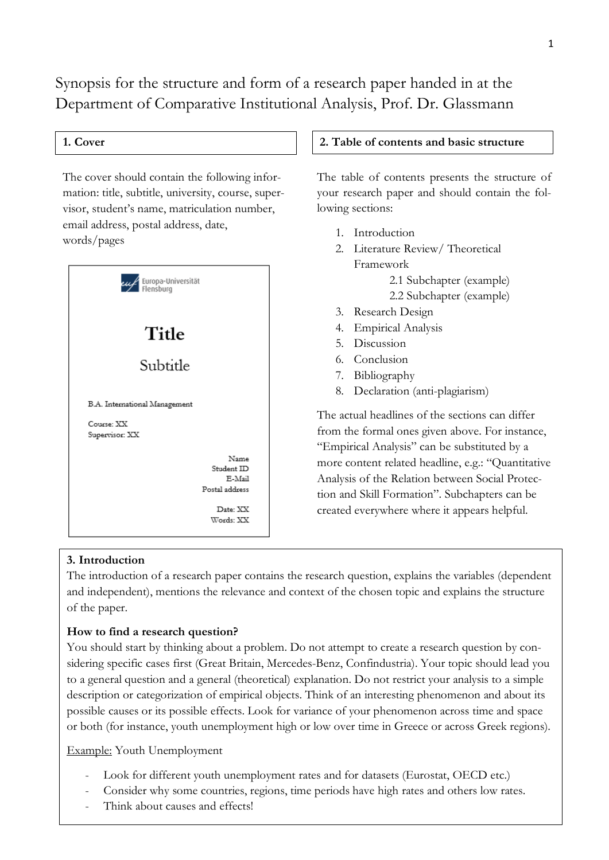Synopsis for the structure and form of a research paper handed in at the Department of Comparative Institutional Analysis, Prof. Dr. Glassmann

email address, postal address, date, The cover should contain the following information: title, subtitle, university, course, supervisor, student's name, matriculation number, words/pages



### **1. Cover 2. Table of contents and basic structure**

The table of contents presents the structure of your research paper and should contain the following sections:

- 1. Introduction
- 2. Literature Review/ Theoretical Framework 2.1 Subchapter (example) 2.2 Subchapter (example)
- 3. Research Design
- 4. Empirical Analysis
- 5. Discussion
- 6. Conclusion
- 7. Bibliography
- 8. Declaration (anti-plagiarism)

The actual headlines of the sections can differ from the formal ones given above. For instance, "Empirical Analysis" can be substituted by a more content related headline, e.g.: "Quantitative Analysis of the Relation between Social Protection and Skill Formation". Subchapters can be created everywhere where it appears helpful.

#### **3. Introduction**

The introduction of a research paper contains the research question, explains the variables (dependent and independent), mentions the relevance and context of the chosen topic and explains the structure of the paper.

## **How to find a research question?**

You should start by thinking about a problem. Do not attempt to create a research question by considering specific cases first (Great Britain, Mercedes-Benz, Confindustria). Your topic should lead you to a general question and a general (theoretical) explanation. Do not restrict your analysis to a simple description or categorization of empirical objects. Think of an interesting phenomenon and about its possible causes or its possible effects. Look for variance of your phenomenon across time and space or both (for instance, youth unemployment high or low over time in Greece or across Greek regions).

Example: Youth Unemployment

- Look for different youth unemployment rates and for datasets (Eurostat, OECD etc.)
- Consider why some countries, regions, time periods have high rates and others low rates.
- Think about causes and effects!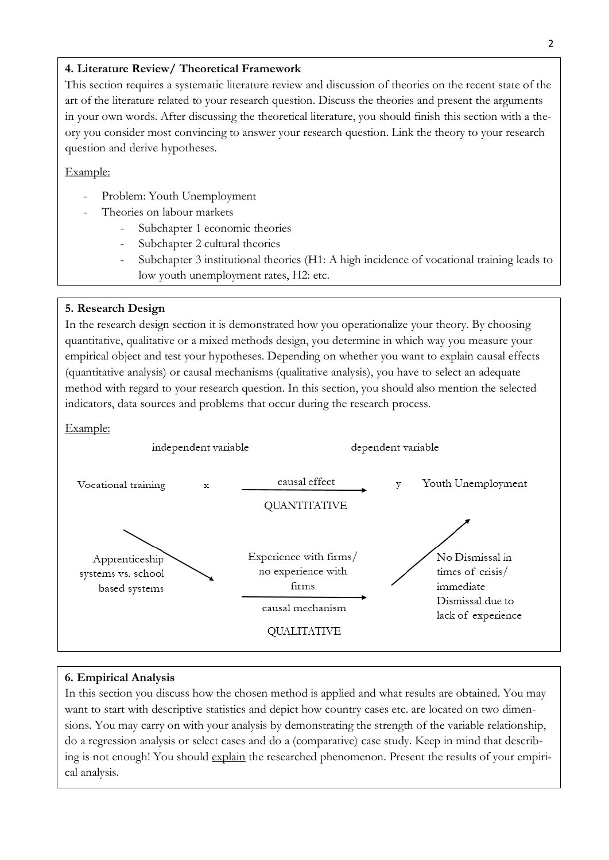## **4. Literature Review/ Theoretical Framework**

This section requires a systematic literature review and discussion of theories on the recent state of the art of the literature related to your research question. Discuss the theories and present the arguments in your own words. After discussing the theoretical literature, you should finish this section with a theory you consider most convincing to answer your research question. Link the theory to your research question and derive hypotheses.

#### Example:

- Problem: Youth Unemployment
- Theories on labour markets
	- Subchapter 1 economic theories
	- Subchapter 2 cultural theories
	- Subchapter 3 institutional theories (H1: A high incidence of vocational training leads to low youth unemployment rates, H2: etc.

#### **5. Research Design**

In the research design section it is demonstrated how you operationalize your theory. By choosing quantitative, qualitative or a mixed methods design, you determine in which way you measure your empirical object and test your hypotheses. Depending on whether you want to explain causal effects (quantitative analysis) or causal mechanisms (qualitative analysis), you have to select an adequate method with regard to your research question. In this section, you should also mention the selected indicators, data sources and problems that occur during the research process.

#### Example:



#### **6. Empirical Analysis**

In this section you discuss how the chosen method is applied and what results are obtained. You may want to start with descriptive statistics and depict how country cases etc. are located on two dimensions. You may carry on with your analysis by demonstrating the strength of the variable relationship, do a regression analysis or select cases and do a (comparative) case study. Keep in mind that describing is not enough! You should explain the researched phenomenon. Present the results of your empirical analysis.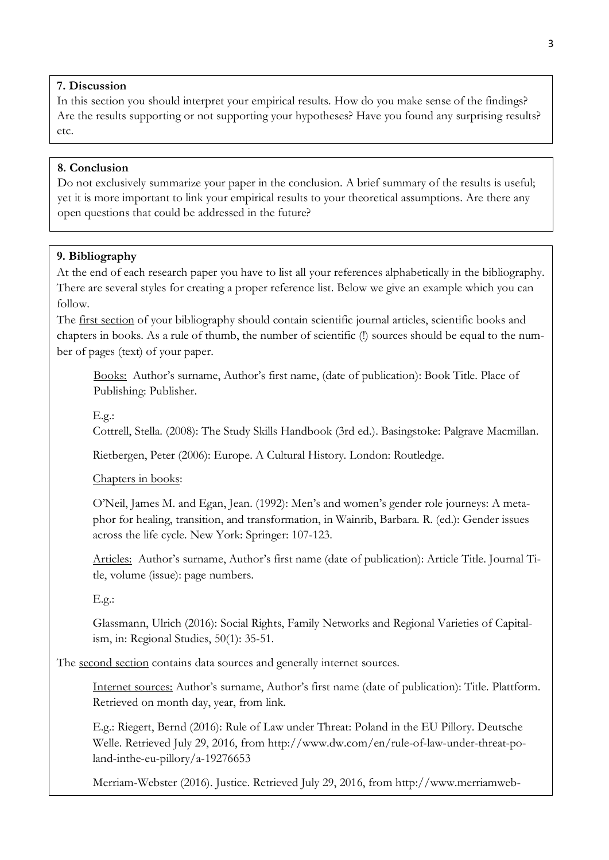# **7. Discussion**

In this section you should interpret your empirical results. How do you make sense of the findings? Are the results supporting or not supporting your hypotheses? Have you found any surprising results? etc.

# **8. Conclusion**

Do not exclusively summarize your paper in the conclusion. A brief summary of the results is useful; yet it is more important to link your empirical results to your theoretical assumptions. Are there any open questions that could be addressed in the future?

### **9. Bibliography**

At the end of each research paper you have to list all your references alphabetically in the bibliography. There are several styles for creating a proper reference list. Below we give an example which you can follow.

The first section of your bibliography should contain scientific journal articles, scientific books and chapters in books. As a rule of thumb, the number of scientific (!) sources should be equal to the number of pages (text) of your paper.

Books: Author's surname, Author's first name, (date of publication): Book Title. Place of Publishing: Publisher.

E.g.:

Cottrell, Stella. (2008): The Study Skills Handbook (3rd ed.). Basingstoke: Palgrave Macmillan.

Rietbergen, Peter (2006): Europe. A Cultural History. London: Routledge.

Chapters in books:

ster.com/dictionary/justice

O'Neil, James M. and Egan, Jean. (1992): Men's and women's gender role journeys: A metaphor for healing, transition, and transformation, in Wainrib, Barbara. R. (ed.): Gender issues across the life cycle. New York: Springer: 107-123.

Articles: Author's surname, Author's first name (date of publication): Article Title. Journal Title, volume (issue): page numbers.

E.g.:

Glassmann, Ulrich (2016): Social Rights, Family Networks and Regional Varieties of Capitalism, in: Regional Studies, 50(1): 35-51.

The second section contains data sources and generally internet sources.

Internet sources: Author's surname, Author's first name (date of publication): Title. Plattform. Retrieved on month day, year, from link.

E.g.: Riegert, Bernd (2016): Rule of Law under Threat: Poland in the EU Pillory. Deutsche Welle. Retrieved July 29, 2016, from http://www.dw.com/en/rule-of-law-under-threat-poland-inthe-eu-pillory/a-19276653

Merriam-Webster (2016). Justice. Retrieved July 29, 2016, from http://www.merriamweb-